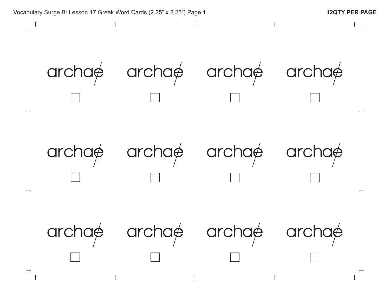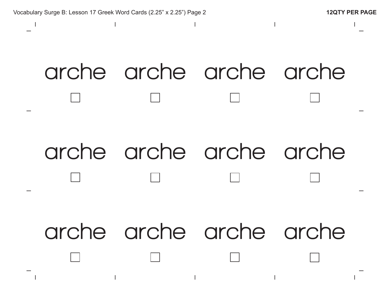

## **arche arche arche arche arche arche arche arche arche arche arche arche**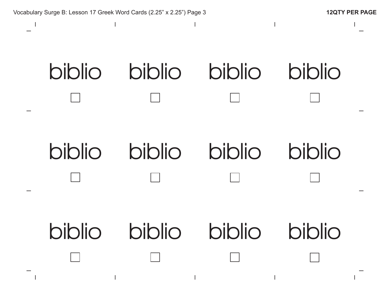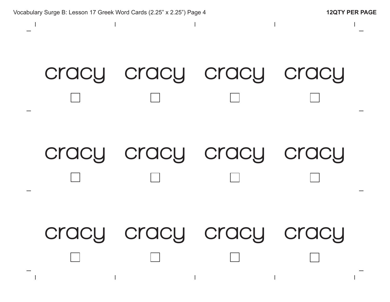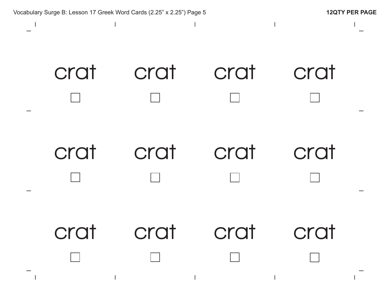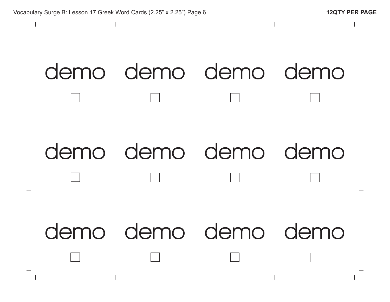$\overline{1}$ 

## **demo demo demo demo demo demo demo demo demo demo demo demo**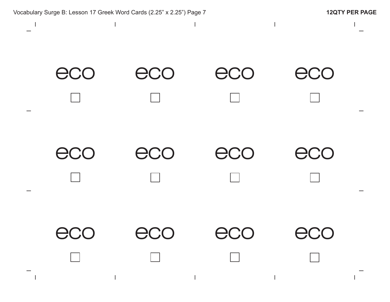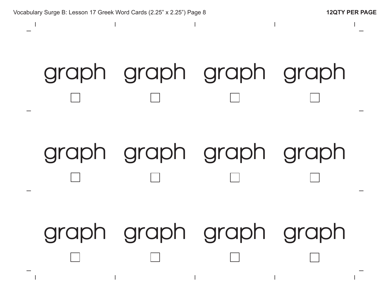# **graph graph graph graph graph graph graph graph graph graph graph graph**

Vocabulary Surge B: Lesson 17 Greek Word Cards (2.25" x 2.25") Page 8 **12QTY PER PAGE**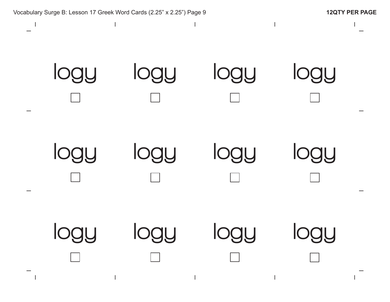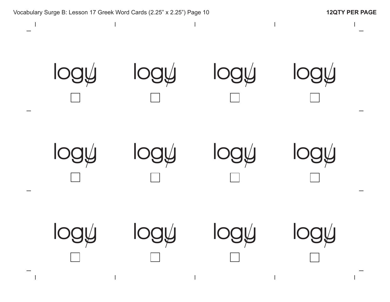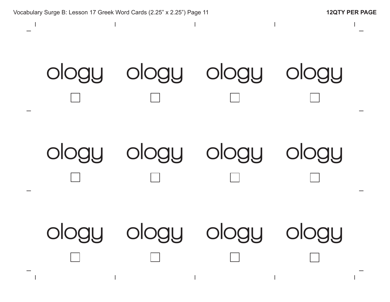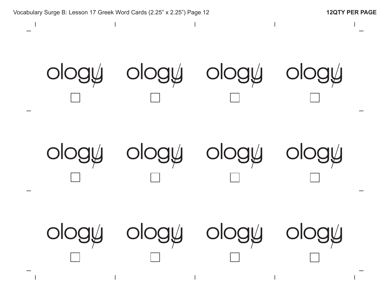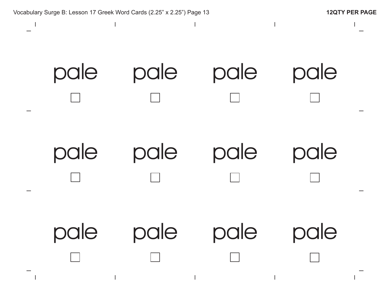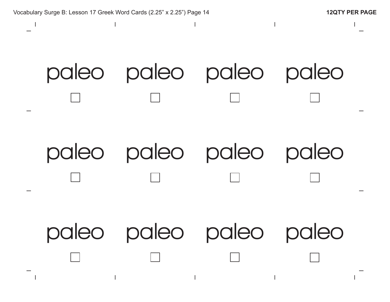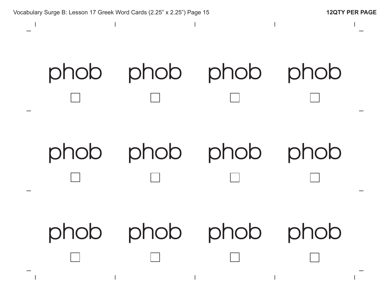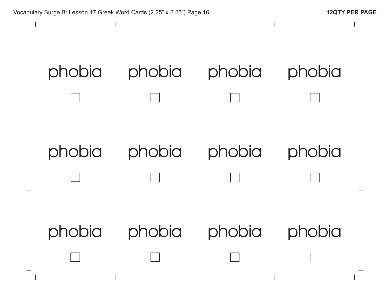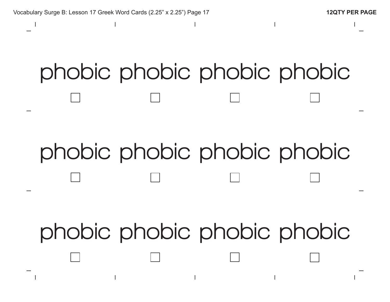### **phobic phobic phobic phobic**

#### **phobic phobic phobic phobic**

**phobic phobic phobic phobic**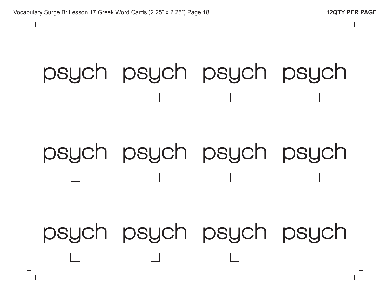# **psych psych psych psych psych psych psych psych psych psych psych psych**

Vocabulary Surge B: Lesson 17 Greek Word Cards (2.25" x 2.25") Page 18 **12QTY PER PAGE**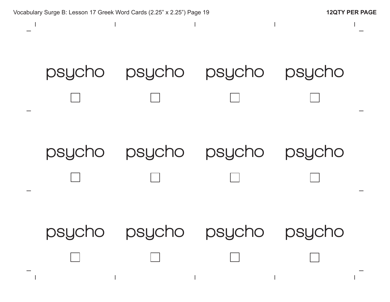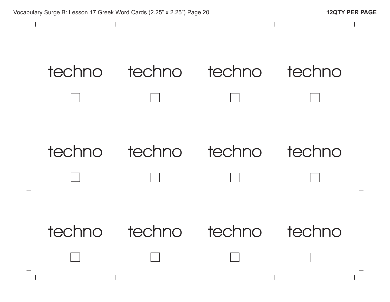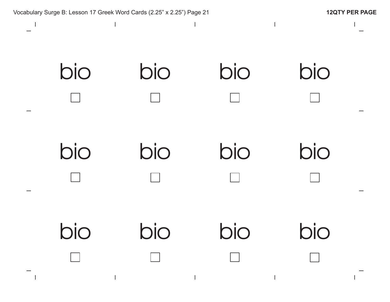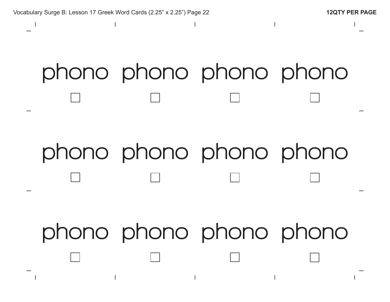### **phono phono phono phono**

#### **phono phono phono phono**

**phono phono phono phono**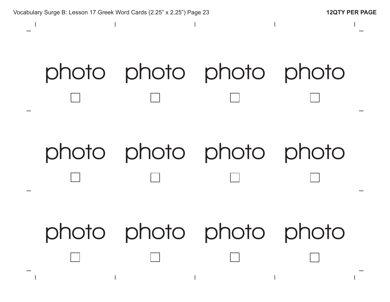Vocabulary Surge B: Lesson 17 Greek Word Cards (2.25" x 2.25") Page 23 **12QTY PER PAGE photo photo photo photo photo photo photo photo photo photo photo photo**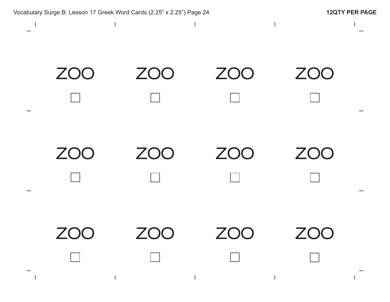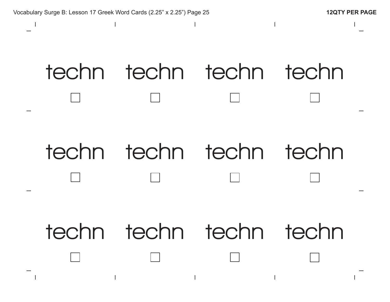

**techn techn techn techn**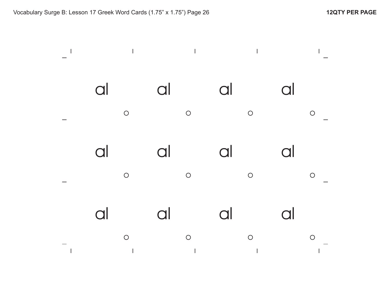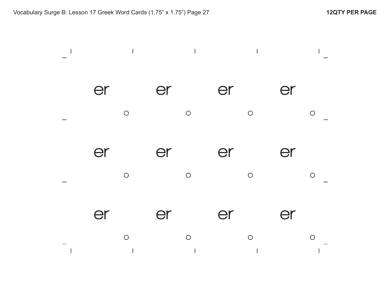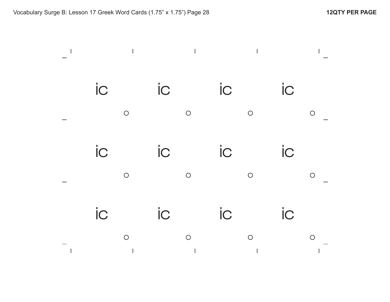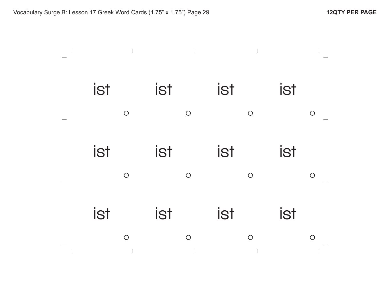| <b>ist</b> |            | ist |            | ist |            | <b>ist</b> |            |
|------------|------------|-----|------------|-----|------------|------------|------------|
|            | $\bigcirc$ |     | $\bigcirc$ |     | $\bigcirc$ |            | $\bigcirc$ |
| <b>ist</b> |            | ist |            | ist |            | <b>ist</b> |            |
|            | $\bigcirc$ |     | $\bigcirc$ |     | $\bigcirc$ |            | $\bigcirc$ |
| <b>ist</b> |            | ist |            | ist |            | <b>ist</b> |            |
|            | $\bigcirc$ |     | $\bigcirc$ |     | $\bigcirc$ |            | $\bigcirc$ |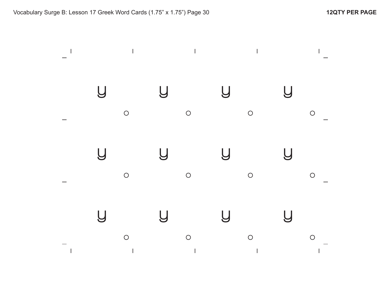